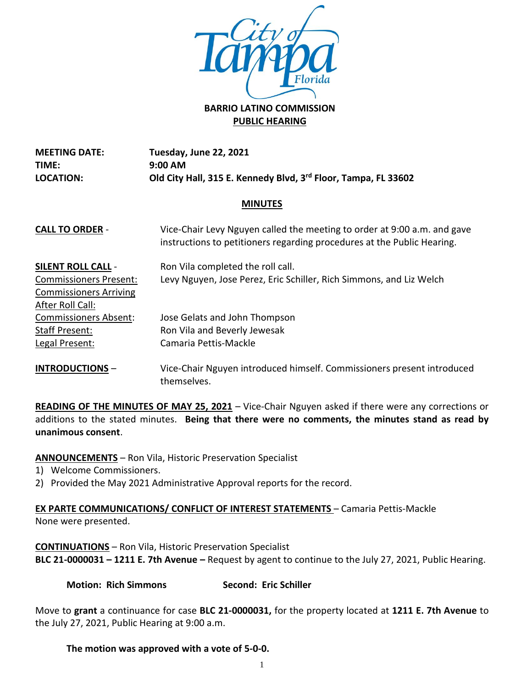

# **PUBLIC HEARING**

**MEETING DATE: TIME: LOCATION: Tuesday, June 22, 2021 9:00 AM Old City Hall, 315 E. Kennedy Blvd, 3rd Floor, Tampa, FL 33602**

### **MINUTES**

| <b>CALL TO ORDER -</b>        | Vice-Chair Levy Nguyen called the meeting to order at 9:00 a.m. and gave<br>instructions to petitioners regarding procedures at the Public Hearing. |
|-------------------------------|-----------------------------------------------------------------------------------------------------------------------------------------------------|
| <b>SILENT ROLL CALL -</b>     | Ron Vila completed the roll call.                                                                                                                   |
| <b>Commissioners Present:</b> | Levy Nguyen, Jose Perez, Eric Schiller, Rich Simmons, and Liz Welch                                                                                 |
| <b>Commissioners Arriving</b> |                                                                                                                                                     |
| After Roll Call:              |                                                                                                                                                     |
| <b>Commissioners Absent:</b>  | Jose Gelats and John Thompson                                                                                                                       |
| <b>Staff Present:</b>         | Ron Vila and Beverly Jewesak                                                                                                                        |
| Legal Present:                | Camaria Pettis-Mackle                                                                                                                               |
|                               | A Marco Alba Mark Chera a Marco al Indiana del Marco de Santa de Caraca de Caraca de la caraca de la caraca de                                      |

**INTRODUCTIONS** – Vice-Chair Nguyen introduced himself. Commissioners present introduced themselves.

**READING OF THE MINUTES OF MAY 25, 2021** – Vice-Chair Nguyen asked if there were any corrections or additions to the stated minutes. **Being that there were no comments, the minutes stand as read by unanimous consent**.

**ANNOUNCEMENTS** – Ron Vila, Historic Preservation Specialist

1) Welcome Commissioners.

2) Provided the May 2021 Administrative Approval reports for the record.

**EX PARTE COMMUNICATIONS/ CONFLICT OF INTEREST STATEMENTS** – Camaria Pettis-Mackle None were presented.

**CONTINUATIONS** – Ron Vila, Historic Preservation Specialist **BLC 21-0000031 – 1211 E. 7th Avenue –** Request by agent to continue to the July 27, 2021, Public Hearing.

**Motion: Rich Simmons Second: Eric Schiller**

Move to **grant** a continuance for case **BLC 21-0000031,** for the property located at **1211 E. 7th Avenue** to the July 27, 2021, Public Hearing at 9:00 a.m.

## **The motion was approved with a vote of 5-0-0.**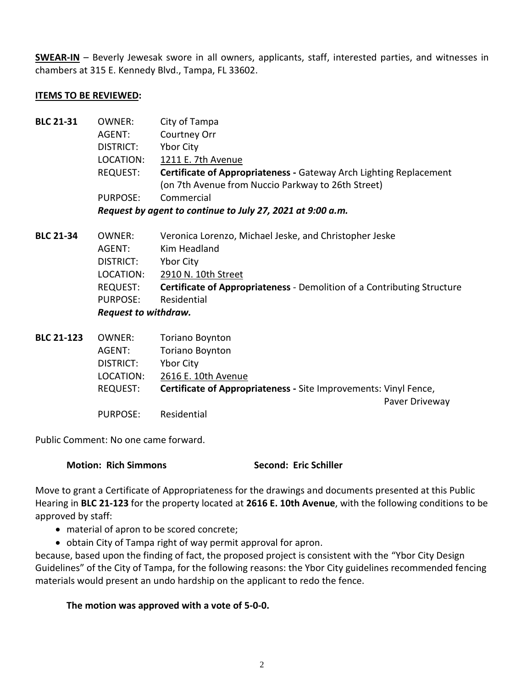**SWEAR-IN** – Beverly Jewesak swore in all owners, applicants, staff, interested parties, and witnesses in chambers at 315 E. Kennedy Blvd., Tampa, FL 33602.

#### **ITEMS TO BE REVIEWED:**

| <b>BLC 21-31</b>  | <b>OWNER:</b>                                              | City of Tampa                                                             |  |
|-------------------|------------------------------------------------------------|---------------------------------------------------------------------------|--|
|                   | AGENT:                                                     | Courtney Orr                                                              |  |
|                   | DISTRICT:                                                  | Ybor City                                                                 |  |
|                   | LOCATION:                                                  | 1211 E. 7th Avenue                                                        |  |
|                   | REQUEST:                                                   | <b>Certificate of Appropriateness - Gateway Arch Lighting Replacement</b> |  |
|                   |                                                            | (on 7th Avenue from Nuccio Parkway to 26th Street)                        |  |
|                   | <b>PURPOSE:</b>                                            | Commercial                                                                |  |
|                   | Request by agent to continue to July 27, 2021 at 9:00 a.m. |                                                                           |  |
| <b>BLC 21-34</b>  | <b>OWNER:</b>                                              | Veronica Lorenzo, Michael Jeske, and Christopher Jeske                    |  |
|                   | AGENT:                                                     | Kim Headland                                                              |  |
|                   | DISTRICT:                                                  | <b>Ybor City</b>                                                          |  |
|                   | LOCATION:                                                  | 2910 N. 10th Street                                                       |  |
|                   | REQUEST:                                                   | Certificate of Appropriateness - Demolition of a Contributing Structure   |  |
|                   | <b>PURPOSE:</b>                                            | Residential                                                               |  |
|                   | <b>Request to withdraw.</b>                                |                                                                           |  |
| <b>BLC 21-123</b> | <b>OWNER:</b>                                              | <b>Toriano Boynton</b>                                                    |  |
|                   | AGENT:                                                     | <b>Toriano Boynton</b>                                                    |  |
|                   | DISTRICT:                                                  | <b>Ybor City</b>                                                          |  |
|                   |                                                            |                                                                           |  |

LOCATION: 2616 E. 10th Avenue REQUEST: **Certificate of Appropriateness -** Site Improvements: Vinyl Fence, Paver Driveway

Public Comment: No one came forward.

**Motion: Rich Simmons Second: Eric Schiller**

Move to grant a Certificate of Appropriateness for the drawings and documents presented at this Public Hearing in **BLC 21-123** for the property located at **2616 E. 10th Avenue**, with the following conditions to be approved by staff:

• material of apron to be scored concrete;

PURPOSE: Residential

• obtain City of Tampa right of way permit approval for apron.

because, based upon the finding of fact, the proposed project is consistent with the "Ybor City Design Guidelines" of the City of Tampa, for the following reasons: the Ybor City guidelines recommended fencing materials would present an undo hardship on the applicant to redo the fence.

#### **The motion was approved with a vote of 5-0-0.**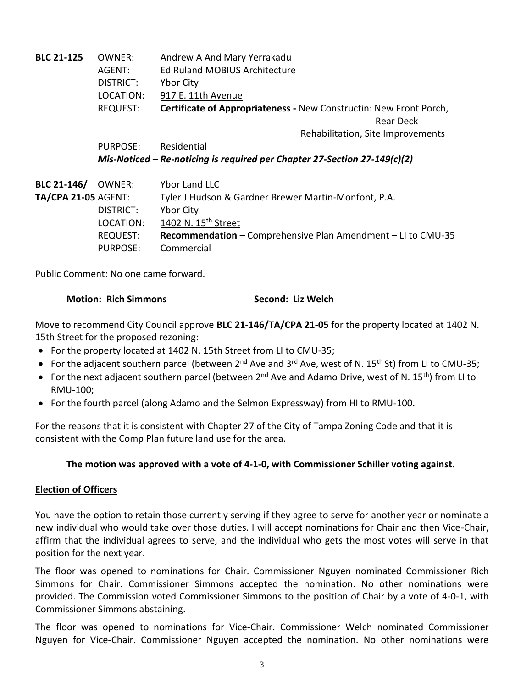| <b>BLC 21-125</b>          | OWNER:<br>AGENT:<br><b>DISTRICT:</b> | Andrew A And Mary Yerrakadu<br><b>Ed Ruland MOBIUS Architecture</b><br><b>Ybor City</b> |
|----------------------------|--------------------------------------|-----------------------------------------------------------------------------------------|
|                            | LOCATION:                            | 917 E. 11th Avenue                                                                      |
|                            | <b>REQUEST:</b>                      | Certificate of Appropriateness - New Constructin: New Front Porch,                      |
|                            |                                      | Rear Deck                                                                               |
|                            |                                      | Rehabilitation, Site Improvements                                                       |
|                            | PURPOSE:                             | Residential                                                                             |
|                            |                                      | Mis-Noticed – Re-noticing is required per Chapter 27-Section 27-149(c)(2)               |
| <b>BLC 21-146/</b>         | OWNER:                               | Ybor Land LLC                                                                           |
| <b>TA/CPA 21-05 AGENT:</b> |                                      | Tyler J Hudson & Gardner Brewer Martin-Monfont, P.A.                                    |
|                            | DISTRICT:                            | <b>Ybor City</b>                                                                        |
|                            | LOCATION:                            | 1402 N. 15 <sup>th</sup> Street                                                         |
|                            | <b>REQUEST:</b>                      | Recommendation - Comprehensive Plan Amendment - LI to CMU-35                            |
|                            | PURPOSE:                             | Commercial                                                                              |

Public Comment: No one came forward.

#### **Motion: Rich Simmons Second: Liz Welch**

Move to recommend City Council approve **BLC 21-146/TA/CPA 21-05** for the property located at 1402 N. 15th Street for the proposed rezoning:

- For the property located at 1402 N. 15th Street from LI to CMU-35;
- For the adjacent southern parcel (between 2<sup>nd</sup> Ave and 3<sup>rd</sup> Ave, west of N. 15<sup>th</sup> St) from LI to CMU-35;
- For the next adjacent southern parcel (between 2<sup>nd</sup> Ave and Adamo Drive, west of N. 15<sup>th</sup>) from LI to RMU-100;
- For the fourth parcel (along Adamo and the Selmon Expressway) from HI to RMU-100.

For the reasons that it is consistent with Chapter 27 of the City of Tampa Zoning Code and that it is consistent with the Comp Plan future land use for the area.

#### **The motion was approved with a vote of 4-1-0, with Commissioner Schiller voting against.**

#### **Election of Officers**

You have the option to retain those currently serving if they agree to serve for another year or nominate a new individual who would take over those duties. I will accept nominations for Chair and then Vice-Chair, affirm that the individual agrees to serve, and the individual who gets the most votes will serve in that position for the next year.

The floor was opened to nominations for Chair. Commissioner Nguyen nominated Commissioner Rich Simmons for Chair. Commissioner Simmons accepted the nomination. No other nominations were provided. The Commission voted Commissioner Simmons to the position of Chair by a vote of 4-0-1, with Commissioner Simmons abstaining.

The floor was opened to nominations for Vice-Chair. Commissioner Welch nominated Commissioner Nguyen for Vice-Chair. Commissioner Nguyen accepted the nomination. No other nominations were